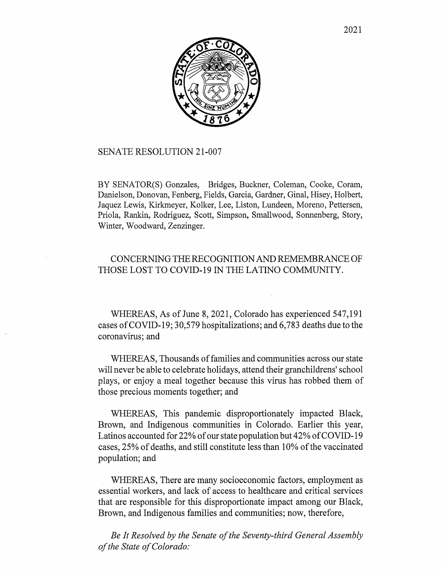

## SENATE RESOLUTION 21-007

BY SENATOR(S) Gonzales, Bridges, Buckner, Coleman, Cooke, Coram, Danielson, Donovan, Fenberg, Fields, Garcia, Gardner, Ginal, Hisey, Holbert, Jaquez Lewis, Kirkmeyer, Kolker, Lee, Liston, Lundeen, Moreno, Pettersen, Priola, Rankin, Rodriguez, Scott, Simpson, Smallwood, Sonnenberg, Story, Winter, Woodward, Zenzinger.

## CONCERNING THE RECOGNITION AND REMEMBRANCE OF THOSE LOST TO COVID-19 IN THE LATINO COMMUNITY.

WHEREAS, As of June 8, 2021, Colorado has experienced 547,191 cases ofCOVID-19; 30,579 hospitalizations; and 6,783 deaths due to the coronavirus; and

WHEREAS, Thousands of families and communities across our state will never be able to celebrate holidays, attend their granchildrens' school plays, or enjoy a meal together because this virus has robbed them of those precious moments together; and

WHEREAS, This pandemic disproportionately impacted Black, Brown, and Indigenous communities in Colorado. Earlier this year, Latinos accounted for 22% of our state population but  $42\%$  of COVID-19 cases, 25% of deaths, and still constitute less than 10% of the vaccinated population; and

WHEREAS, There are many socioeconomic factors, employment as essential workers, and lack of access to healthcare and critical services that are responsible for this disproportionate impact among our Black, Brown, and Indigenous families and communities; now, therefore,

*Be It Resolved by the Senate of the Seventy-third General Assembly of the State of Colorado:*